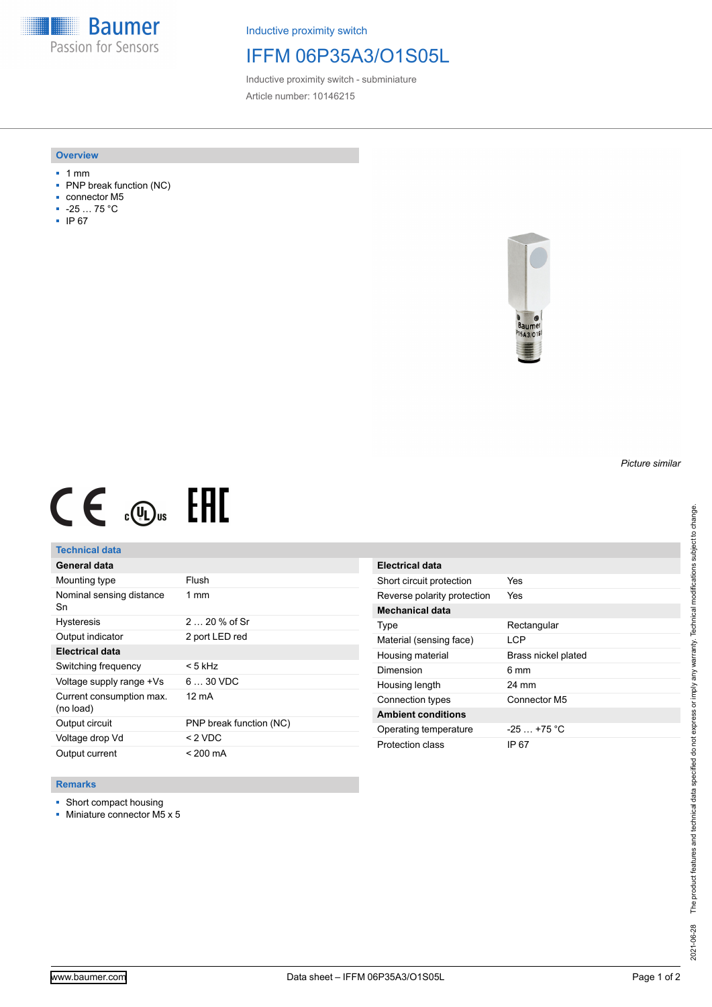**Baumer** Passion for Sensors

Inductive proximity switch

## IFFM 06P35A3/O1S05L

Inductive proximity switch - subminiature Article number: 10146215

#### **Overview**

- 1 mm
- PNP break function (NC)
- connector M5
- -25 … 75 °C
- IP 67



# $CE \mathcal{L}$  (Dus FRE

## **Technical data**

| General data                          |                         |
|---------------------------------------|-------------------------|
| Mounting type                         | Flush                   |
| Nominal sensing distance<br>Sn        | $1 \text{ mm}$          |
| <b>Hysteresis</b>                     | $220%$ of Sr            |
| Output indicator                      | 2 port LED red          |
| <b>Electrical data</b>                |                         |
| Switching frequency                   | < 5 kHz                 |
| Voltage supply range +Vs              | $630$ VDC               |
| Current consumption max.<br>(no load) | 12 mA                   |
| Output circuit                        | PNP break function (NC) |
| Voltage drop Vd                       | $< 2$ VDC               |
| Output current                        | < 200 mA                |

| Electrical data             |                     |
|-----------------------------|---------------------|
| Short circuit protection    | Yes                 |
| Reverse polarity protection | Yes                 |
| <b>Mechanical data</b>      |                     |
| Type                        | Rectangular         |
| Material (sensing face)     | I CP                |
| Housing material            | Brass nickel plated |
| Dimension                   | 6 mm                |
| Housing length              | 24 mm               |
| Connection types            | Connector M5        |
| <b>Ambient conditions</b>   |                     |
| Operating temperature       | $-25$ $+75$ °C      |
| Protection class            | IP 67               |

#### **Remarks**

- Short compact housing
- Miniature connector M5 x 5

*Picture similar*